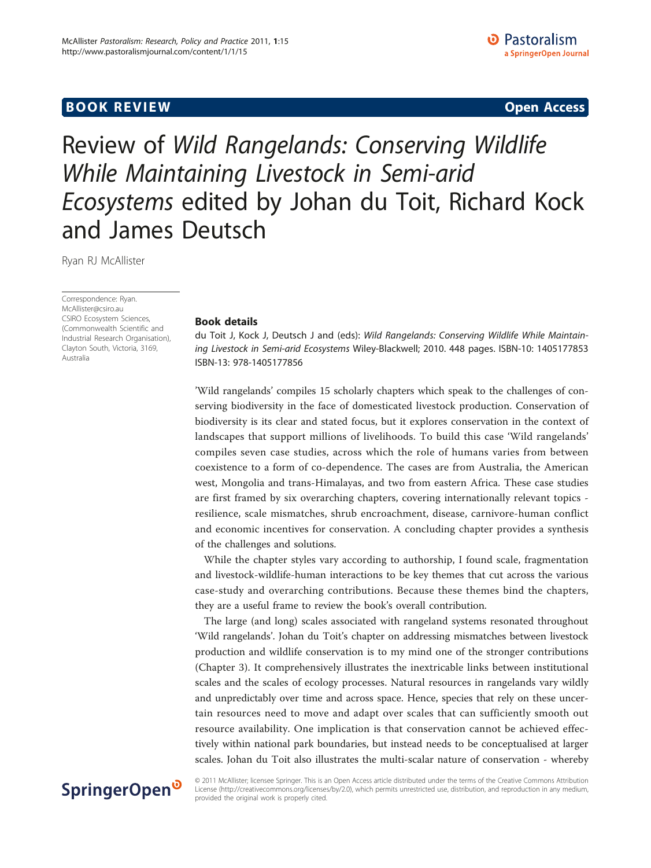## **BOOK REVIEW CONTROL** CONTROL CONTROL CONTROL CONTROL CONTROL CONTROL CONTROL CONTROL CONTROL CONTROL CONTROL CONTROL CONTROL CONTROL CONTROL CONTROL CONTROL CONTROL CONTROL CONTROL CONTROL CONTROL CONTROL CONTROL CONTROL

# Review of Wild Rangelands: Conserving Wildlife While Maintaining Livestock in Semi-arid Ecosystems edited by Johan du Toit, Richard Kock and James Deutsch

Ryan RJ McAllister

Correspondence: [Ryan.](mailto:Ryan.McAllister@csiro.au) [McAllister@csiro.au](mailto:Ryan.McAllister@csiro.au) CSIRO Ecosystem Sciences, (Commonwealth Scientific and Industrial Research Organisation), Clayton South, Victoria, 3169, Australia

## Book details

du Toit J, Kock J, Deutsch J and (eds): Wild Rangelands: Conserving Wildlife While Maintaining Livestock in Semi-arid Ecosystems Wiley-Blackwell; 2010. 448 pages. ISBN-10: 1405177853 ISBN-13: 978-1405177856

'Wild rangelands' compiles 15 scholarly chapters which speak to the challenges of conserving biodiversity in the face of domesticated livestock production. Conservation of biodiversity is its clear and stated focus, but it explores conservation in the context of landscapes that support millions of livelihoods. To build this case 'Wild rangelands' compiles seven case studies, across which the role of humans varies from between coexistence to a form of co-dependence. The cases are from Australia, the American west, Mongolia and trans-Himalayas, and two from eastern Africa. These case studies are first framed by six overarching chapters, covering internationally relevant topics resilience, scale mismatches, shrub encroachment, disease, carnivore-human conflict and economic incentives for conservation. A concluding chapter provides a synthesis of the challenges and solutions.

While the chapter styles vary according to authorship, I found scale, fragmentation and livestock-wildlife-human interactions to be key themes that cut across the various case-study and overarching contributions. Because these themes bind the chapters, they are a useful frame to review the book's overall contribution.

The large (and long) scales associated with rangeland systems resonated throughout 'Wild rangelands'. Johan du Toit's chapter on addressing mismatches between livestock production and wildlife conservation is to my mind one of the stronger contributions (Chapter 3). It comprehensively illustrates the inextricable links between institutional scales and the scales of ecology processes. Natural resources in rangelands vary wildly and unpredictably over time and across space. Hence, species that rely on these uncertain resources need to move and adapt over scales that can sufficiently smooth out resource availability. One implication is that conservation cannot be achieved effectively within national park boundaries, but instead needs to be conceptualised at larger scales. Johan du Toit also illustrates the multi-scalar nature of conservation - whereby

## SpringerOpen<sup>®</sup>

© 2011 McAllister; licensee Springer. This is an Open Access article distributed under the terms of the Creative Commons Attribution License [\(http://creativecommons.org/licenses/by/2.0](http://creativecommons.org/licenses/by/2.0)), which permits unrestricted use, distribution, and reproduction in any medium, provided the original work is properly cited.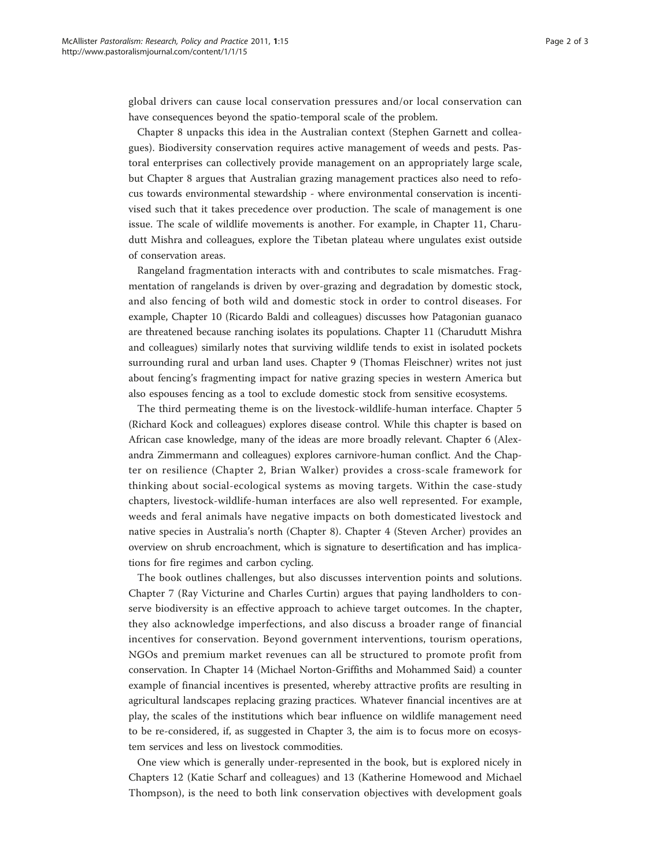global drivers can cause local conservation pressures and/or local conservation can have consequences beyond the spatio-temporal scale of the problem.

Chapter 8 unpacks this idea in the Australian context (Stephen Garnett and colleagues). Biodiversity conservation requires active management of weeds and pests. Pastoral enterprises can collectively provide management on an appropriately large scale, but Chapter 8 argues that Australian grazing management practices also need to refocus towards environmental stewardship - where environmental conservation is incentivised such that it takes precedence over production. The scale of management is one issue. The scale of wildlife movements is another. For example, in Chapter 11, Charudutt Mishra and colleagues, explore the Tibetan plateau where ungulates exist outside of conservation areas.

Rangeland fragmentation interacts with and contributes to scale mismatches. Fragmentation of rangelands is driven by over-grazing and degradation by domestic stock, and also fencing of both wild and domestic stock in order to control diseases. For example, Chapter 10 (Ricardo Baldi and colleagues) discusses how Patagonian guanaco are threatened because ranching isolates its populations. Chapter 11 (Charudutt Mishra and colleagues) similarly notes that surviving wildlife tends to exist in isolated pockets surrounding rural and urban land uses. Chapter 9 (Thomas Fleischner) writes not just about fencing's fragmenting impact for native grazing species in western America but also espouses fencing as a tool to exclude domestic stock from sensitive ecosystems.

The third permeating theme is on the livestock-wildlife-human interface. Chapter 5 (Richard Kock and colleagues) explores disease control. While this chapter is based on African case knowledge, many of the ideas are more broadly relevant. Chapter 6 (Alexandra Zimmermann and colleagues) explores carnivore-human conflict. And the Chapter on resilience (Chapter 2, Brian Walker) provides a cross-scale framework for thinking about social-ecological systems as moving targets. Within the case-study chapters, livestock-wildlife-human interfaces are also well represented. For example, weeds and feral animals have negative impacts on both domesticated livestock and native species in Australia's north (Chapter 8). Chapter 4 (Steven Archer) provides an overview on shrub encroachment, which is signature to desertification and has implications for fire regimes and carbon cycling.

The book outlines challenges, but also discusses intervention points and solutions. Chapter 7 (Ray Victurine and Charles Curtin) argues that paying landholders to conserve biodiversity is an effective approach to achieve target outcomes. In the chapter, they also acknowledge imperfections, and also discuss a broader range of financial incentives for conservation. Beyond government interventions, tourism operations, NGOs and premium market revenues can all be structured to promote profit from conservation. In Chapter 14 (Michael Norton-Griffiths and Mohammed Said) a counter example of financial incentives is presented, whereby attractive profits are resulting in agricultural landscapes replacing grazing practices. Whatever financial incentives are at play, the scales of the institutions which bear influence on wildlife management need to be re-considered, if, as suggested in Chapter 3, the aim is to focus more on ecosystem services and less on livestock commodities.

One view which is generally under-represented in the book, but is explored nicely in Chapters 12 (Katie Scharf and colleagues) and 13 (Katherine Homewood and Michael Thompson), is the need to both link conservation objectives with development goals